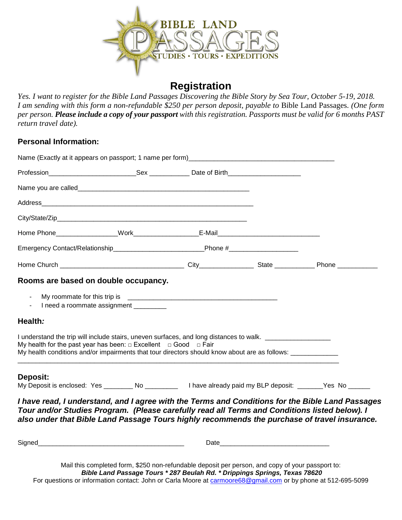

# **Registration**

*Yes. I want to register for the Bible Land Passages Discovering the Bible Story by Sea Tour, October 5-19, 2018. I am sending with this form a non-refundable \$250 per person deposit, payable to* Bible Land Passages. *(One form per person. Please include a copy of your passport with this registration. Passports must be valid for 6 months PAST return travel date).*

### **Personal Information:**

| Emergency Contact/Relationship_________________________________Phone #______________________________                                                                                                                                                                                                          |                              |  |  |  |
|---------------------------------------------------------------------------------------------------------------------------------------------------------------------------------------------------------------------------------------------------------------------------------------------------------------|------------------------------|--|--|--|
|                                                                                                                                                                                                                                                                                                               |                              |  |  |  |
| Rooms are based on double occupancy.                                                                                                                                                                                                                                                                          |                              |  |  |  |
| $\blacksquare$                                                                                                                                                                                                                                                                                                | I need a roommate assignment |  |  |  |
| Health:                                                                                                                                                                                                                                                                                                       |                              |  |  |  |
| I understand the trip will include stairs, uneven surfaces, and long distances to walk. __________________<br>My health for the past year has been: $\Box$ Excellent $\Box$ Good $\Box$ Fair<br>My health conditions and/or impairments that tour directors should know about are as follows: _______________ |                              |  |  |  |
| Deposit:<br>My Deposit is enclosed: Yes ________ No _________ I have already paid my BLP deposit: ______Yes No ______                                                                                                                                                                                         |                              |  |  |  |
| I have read, I understand, and I agree with the Terms and Conditions for the Bible Land Passages<br>Tour and/or Studies Program. (Please carefully read all Terms and Conditions listed below). I<br>also under that Bible Land Passage Tours highly recommends the purchase of travel insurance.             |                              |  |  |  |
|                                                                                                                                                                                                                                                                                                               |                              |  |  |  |

Mail this completed form, \$250 non-refundable deposit per person, and copy of your passport to: *Bible Land Passage Tours \* 287 Beulah Rd. \* Drippings Springs, Texas 78620* For questions or information contact: John or Carla Moore at [carmoore68@gmail.com](mailto:carmoore68@gmail.com) or by phone at 512-695-5099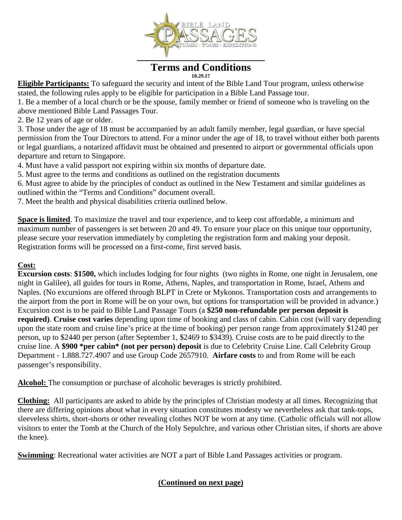

# **Terms and Conditions**

**10.29.17**

**Eligible Participants:** To safeguard the security and intent of the Bible Land Tour program, unless otherwise stated, the following rules apply to be eligible for participation in a Bible Land Passage tour.

1. Be a member of a local church or be the spouse, family member or friend of someone who is traveling on the above mentioned Bible Land Passages Tour.

2. Be 12 years of age or older.

3. Those under the age of 18 must be accompanied by an adult family member, legal guardian, or have special permission from the Tour Directors to attend. For a minor under the age of 18, to travel without either both parents or legal guardians, a notarized affidavit must be obtained and presented to airport or governmental officials upon departure and return to Singapore.

4. Must have a valid passport not expiring within six months of departure date.

5. Must agree to the terms and conditions as outlined on the registration documents

6. Must agree to abide by the principles of conduct as outlined in the New Testament and similar guidelines as outlined within the "Terms and Conditions" document overall.

7. Meet the health and physical disabilities criteria outlined below.

**Space is limited**. To maximize the travel and tour experience, and to keep cost affordable, a minimum and maximum number of passengers is set between 20 and 49. To ensure your place on this unique tour opportunity, please secure your reservation immediately by completing the registration form and making your deposit. Registration forms will be processed on a first-come, first served basis.

### **Cost:**

**Excursion costs**: **\$1500,** which includes lodging for four nights (two nights in Rome, one night in Jerusalem, one night in Galilee), all guides for tours in Rome, Athens, Naples, and transportation in Rome, Israel, Athens and Naples. (No excursions are offered through BLPT in Crete or Mykonos. Transportation costs and arrangements to the airport from the port in Rome will be on your own, but options for transportation will be provided in advance.) Excursion cost is to be paid to Bible Land Passage Tours (a **\$250 non-refundable per person deposit is required)**. **Cruise cost varies** depending upon time of booking and class of cabin. Cabin cost (will vary depending upon the state room and cruise line's price at the time of booking) per person range from approximately \$1240 per person, up to \$2440 per person (after September 1, \$2469 to \$3439). Cruise costs are to be paid directly to the cruise line. A **\$900 \*per cabin\* (not per person) deposit** is due to Celebrity Cruise Line. Call Celebrity Group Department - 1.888.727.4907 and use Group Code 2657910. **Airfare costs** to and from Rome will be each passenger's responsibility.

**Alcohol:** The consumption or purchase of alcoholic beverages is strictly prohibited.

**Clothing:** All participants are asked to abide by the principles of Christian modesty at all times. Recognizing that there are differing opinions about what in every situation constitutes modesty we nevertheless ask that tank-tops, sleeveless shirts, short-shorts or other revealing clothes NOT be worn at any time. (Catholic officials will not allow visitors to enter the Tomb at the Church of the Holy Sepulchre, and various other Christian sites, if shorts are above the knee).

**Swimming**: Recreational water activities are NOT a part of Bible Land Passages activities or program.

### **(Continued on next page)**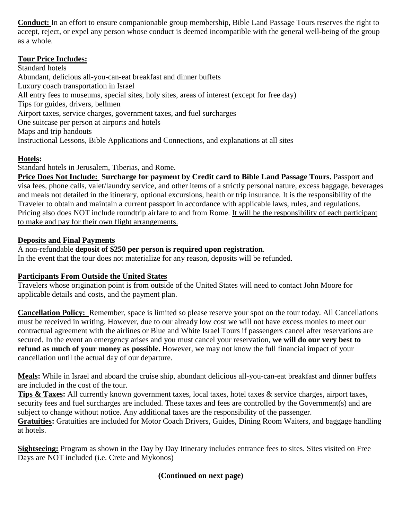**Conduct:** In an effort to ensure companionable group membership, Bible Land Passage Tours reserves the right to accept, reject, or expel any person whose conduct is deemed incompatible with the general well-being of the group as a whole.

### **Tour Price Includes:**

Standard hotels Abundant, delicious all-you-can-eat breakfast and dinner buffets Luxury coach transportation in Israel All entry fees to museums, special sites, holy sites, areas of interest (except for free day) Tips for guides, drivers, bellmen Airport taxes, service charges, government taxes, and fuel surcharges One suitcase per person at airports and hotels Maps and trip handouts Instructional Lessons, Bible Applications and Connections, and explanations at all sites

# **Hotels:**

Standard hotels in Jerusalem, Tiberias, and Rome.

**Price Does Not Include: Surcharge for payment by Credit card to Bible Land Passage Tours. Passport and** visa fees, phone calls, valet/laundry service, and other items of a strictly personal nature, excess baggage, beverages and meals not detailed in the itinerary, optional excursions, health or trip insurance. It is the responsibility of the Traveler to obtain and maintain a current passport in accordance with applicable laws, rules, and regulations. Pricing also does NOT include roundtrip airfare to and from Rome. It will be the responsibility of each participant to make and pay for their own flight arrangements.

### **Deposits and Final Payments**

### A non-refundable **deposit of \$250 per person is required upon registration**.

In the event that the tour does not materialize for any reason, deposits will be refunded.

## **Participants From Outside the United States**

Travelers whose origination point is from outside of the United States will need to contact John Moore for applicable details and costs, and the payment plan.

**Cancellation Policy:** Remember, space is limited so please reserve your spot on the tour today. All Cancellations must be received in writing. However, due to our already low cost we will not have excess monies to meet our contractual agreement with the airlines or Blue and White Israel Tours if passengers cancel after reservations are secured. In the event an emergency arises and you must cancel your reservation, **we will do our very best to refund as much of your money as possible.** However, we may not know the full financial impact of your cancellation until the actual day of our departure.

**Meals:** While in Israel and aboard the cruise ship, abundant delicious all-you-can-eat breakfast and dinner buffets are included in the cost of the tour.

**Tips & Taxes:** All currently known government taxes, local taxes, hotel taxes & service charges, airport taxes, security fees and fuel surcharges are included. These taxes and fees are controlled by the Government(s) and are subject to change without notice. Any additional taxes are the responsibility of the passenger.

**Gratuities:** Gratuities are included for Motor Coach Drivers, Guides, Dining Room Waiters, and baggage handling at hotels.

**Sightseeing:** Program as shown in the Day by Day Itinerary includes entrance fees to sites. Sites visited on Free Days are NOT included (i.e. Crete and Mykonos)

## **(Continued on next page)**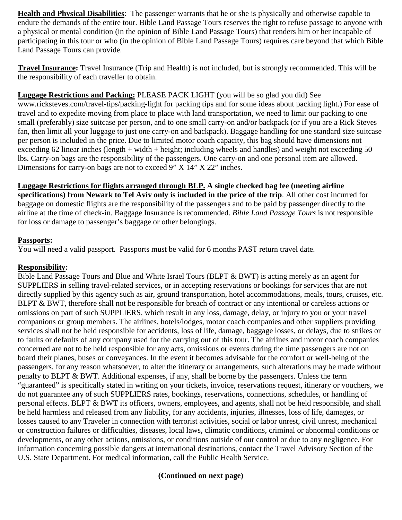**Health and Physical Disabilities**: The passenger warrants that he or she is physically and otherwise capable to endure the demands of the entire tour. Bible Land Passage Tours reserves the right to refuse passage to anyone with a physical or mental condition (in the opinion of Bible Land Passage Tours) that renders him or her incapable of participating in this tour or who (in the opinion of Bible Land Passage Tours) requires care beyond that which Bible Land Passage Tours can provide.

**Travel Insurance:** Travel Insurance (Trip and Health) is not included, but is strongly recommended. This will be the responsibility of each traveller to obtain.

#### **Luggage Restrictions and Packing:** PLEASE PACK LIGHT (you will be so glad you did) See

www.ricksteves.com/travel-tips/packing-light for packing tips and for some ideas about packing light.) For ease of travel and to expedite moving from place to place with land transportation, we need to limit our packing to one small (preferably) size suitcase per person, and to one small carry-on and/or backpack (or if you are a Rick Steves fan, then limit all your luggage to just one carry-on and backpack). Baggage handling for one standard size suitcase per person is included in the price. Due to limited motor coach capacity, this bag should have dimensions not exceeding 62 linear inches (length + width + height; including wheels and handles) and weight not exceeding 50 lbs. Carry-on bags are the responsibility of the passengers. One carry-on and one personal item are allowed. Dimensions for carry-on bags are not to exceed 9" X 14" X 22" inches.

### **Luggage Restrictions for flights arranged through BLP. A single checked bag fee (meeting airline**

**specifications) from Newark to Tel Aviv only is included in the price of the trip**. All other cost incurred for baggage on domestic flights are the responsibility of the passengers and to be paid by passenger directly to the airline at the time of check-in. Baggage Insurance is recommended. *Bible Land Passage Tours* is not responsible for loss or damage to passenger's baggage or other belongings.

#### **Passports:**

You will need a valid passport. Passports must be valid for 6 months PAST return travel date.

#### **Responsibility:**

Bible Land Passage Tours and Blue and White Israel Tours (BLPT & BWT) is acting merely as an agent for SUPPLIERS in selling travel-related services, or in accepting reservations or bookings for services that are not directly supplied by this agency such as air, ground transportation, hotel accommodations, meals, tours, cruises, etc. BLPT & BWT, therefore shall not be responsible for breach of contract or any intentional or careless actions or omissions on part of such SUPPLIERS, which result in any loss, damage, delay, or injury to you or your travel companions or group members. The airlines, hotels/lodges, motor coach companies and other suppliers providing services shall not be held responsible for accidents, loss of life, damage, baggage losses, or delays, due to strikes or to faults or defaults of any company used for the carrying out of this tour. The airlines and motor coach companies concerned are not to be held responsible for any acts, omissions or events during the time passengers are not on board their planes, buses or conveyances. In the event it becomes advisable for the comfort or well-being of the passengers, for any reason whatsoever, to alter the itinerary or arrangements, such alterations may be made without penalty to BLPT & BWT. Additional expenses, if any, shall be borne by the passengers. Unless the term "guaranteed" is specifically stated in writing on your tickets, invoice, reservations request, itinerary or vouchers, we do not guarantee any of such SUPPLIERS rates, bookings, reservations, connections, schedules, or handling of personal effects. BLPT & BWT its officers, owners, employees, and agents, shall not be held responsible, and shall be held harmless and released from any liability, for any accidents, injuries, illnesses, loss of life, damages, or losses caused to any Traveler in connection with terrorist activities, social or labor unrest, civil unrest, mechanical or construction failures or difficulties, diseases, local laws, climatic conditions, criminal or abnormal conditions or developments, or any other actions, omissions, or conditions outside of our control or due to any negligence. For information concerning possible dangers at international destinations, contact the Travel Advisory Section of the U.S. State Department. For medical information, call the Public Health Service.

### **(Continued on next page)**